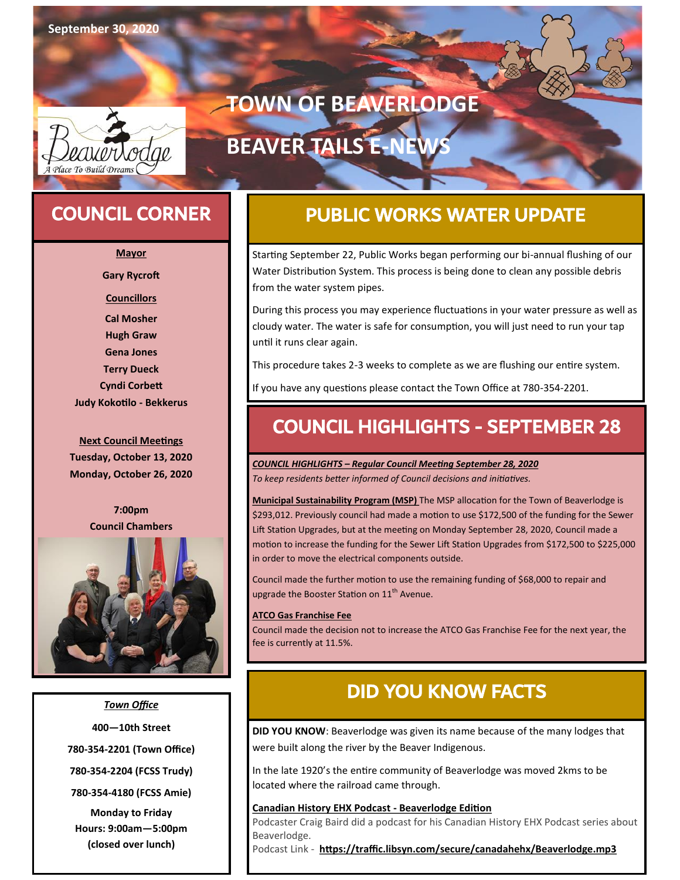

### COUNCIL CORNER

**Mayor**

**Gary Rycroft**

**Councillors**

**Cal Mosher Hugh Graw Gena Jones Terry Dueck Cyndi Corbett**

**Judy Kokotilo - Bekkerus**

**Next Council Meetings Tuesday, October 13, 2020 Monday, October 26, 2020**

> **7:00pm Council Chambers**



#### *Town Office*

**400—10th Street 780-354-2201 (Town Office)**

**780-354-2204 (FCSS Trudy)**

**780-354-4180 (FCSS Amie)**

**Monday to Friday Hours: 9:00am—5:00pm (closed over lunch)**

# PUBLIC WORKS WATER UPDATE

**TOWN OF BEAVERLODGE**

**BEAVER TAILS E-NEW** 

Starting September 22, Public Works began performing our bi-annual flushing of our Water Distribution System. This process is being done to clean any possible debris from the water system pipes.

During this process you may experience fluctuations in your water pressure as well as cloudy water. The water is safe for consumption, you will just need to run your tap until it runs clear again.

This procedure takes 2-3 weeks to complete as we are flushing our entire system.

If you have any questions please contact the Town Office at 780-354-2201.

### COUNCIL HIGHLIGHTS - SEPTEMBER 28

*COUNCIL HIGHLIGHTS – Regular Council Meeting September 28, 2020 To keep residents better informed of Council decisions and initiatives.*

**Municipal Sustainability Program (MSP)** The MSP allocation for the Town of Beaverlodge is \$293,012. Previously council had made a motion to use \$172,500 of the funding for the Sewer Lift Station Upgrades, but at the meeting on Monday September 28, 2020, Council made a motion to increase the funding for the Sewer Lift Station Upgrades from \$172,500 to \$225,000 in order to move the electrical components outside.

Council made the further motion to use the remaining funding of \$68,000 to repair and upgrade the Booster Station on  $11^{\text{th}}$  Avenue.

#### **ATCO Gas Franchise Fee**

Council made the decision not to increase the ATCO Gas Franchise Fee for the next year, the fee is currently at 11.5%.

### DID YOU KNOW FACTS

**DID YOU KNOW**: Beaverlodge was given its name because of the many lodges that were built along the river by the Beaver Indigenous.

In the late 1920's the entire community of Beaverlodge was moved 2kms to be located where the railroad came through.

#### **Canadian History EHX Podcast - Beaverlodge Edition**

Podcaster Craig Baird did a podcast for his Canadian History EHX Podcast series about Beaverlodge.

Podcast Link - **<https://traffic.libsyn.com/secure/canadahehx/Beaverlodge.mp3>**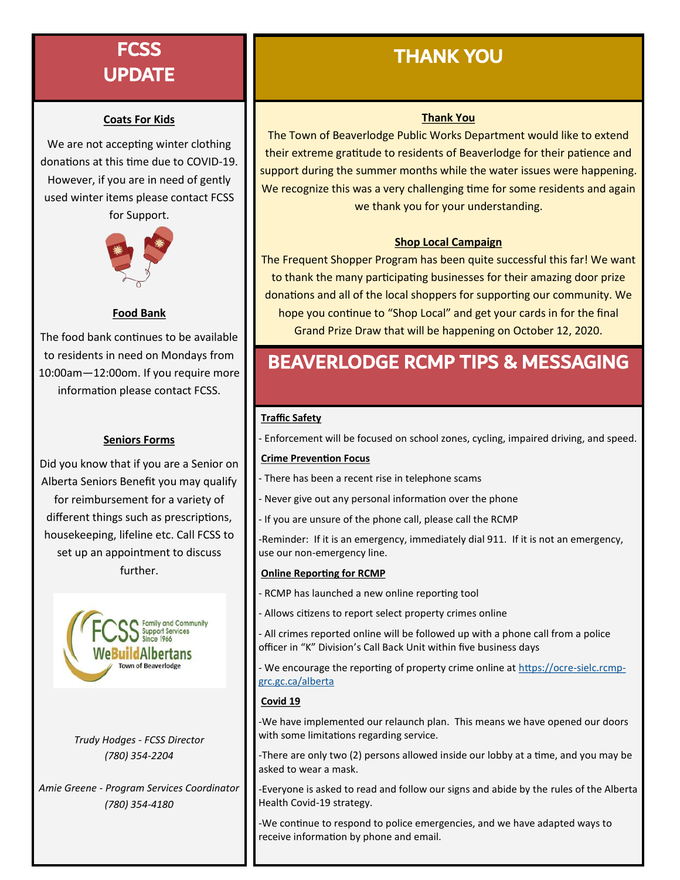### **FCSS** UPDATE

#### **Coats For Kids**

We are not accepting winter clothing donations at this time due to COVID-19. However, if you are in need of gently used winter items please contact FCSS for Support.



#### **Food Bank**

The food bank continues to be available to residents in need on Mondays from 10:00am—12:00om. If you require more information please contact FCSS.

### **Seniors Forms**

Did you know that if you are a Senior on Alberta Seniors Benefit you may qualify for reimbursement for a variety of different things such as prescriptions, housekeeping, lifeline etc. Call FCSS to set up an appointment to discuss further.



*Trudy Hodges - FCSS Director (780) 354-2204*

*Amie Greene - Program Services Coordinator (780) 354-4180*

## THANK YOU

### **Thank You**

The Town of Beaverlodge Public Works Department would like to extend their extreme gratitude to residents of Beaverlodge for their patience and support during the summer months while the water issues were happening. We recognize this was a very challenging time for some residents and again we thank you for your understanding.

### **Shop Local Campaign**

The Frequent Shopper Program has been quite successful this far! We want to thank the many participating businesses for their amazing door prize donations and all of the local shoppers for supporting our community. We hope you continue to "Shop Local" and get your cards in for the final Grand Prize Draw that will be happening on October 12, 2020.

## BEAVERLODGE RCMP TIPS & MESSAGING

#### **Traffic Safety**

- Enforcement will be focused on school zones, cycling, impaired driving, and speed.

#### **Crime Prevention Focus**

- There has been a recent rise in telephone scams
- Never give out any personal information over the phone
- If you are unsure of the phone call, please call the RCMP

-Reminder: If it is an emergency, immediately dial 911. If it is not an emergency, use our non-emergency line.

#### **Online Reporting for RCMP**

- RCMP has launched a new online reporting tool
- Allows citizens to report select property crimes online

- All crimes reported online will be followed up with a phone call from a police officer in "K" Division's Call Back Unit within five business days

- We encourage the reporting of property crime online at [https://ocre](https://ocre-sielc.rcmp-grc.gc.ca/alberta)-sielc.rcmp[grc.gc.ca/alberta](https://ocre-sielc.rcmp-grc.gc.ca/alberta)

#### **Covid 19**

-We have implemented our relaunch plan. This means we have opened our doors with some limitations regarding service.

-There are only two (2) persons allowed inside our lobby at a time, and you may be asked to wear a mask.

-Everyone is asked to read and follow our signs and abide by the rules of the Alberta Health Covid-19 strategy.

-We continue to respond to police emergencies, and we have adapted ways to receive information by phone and email.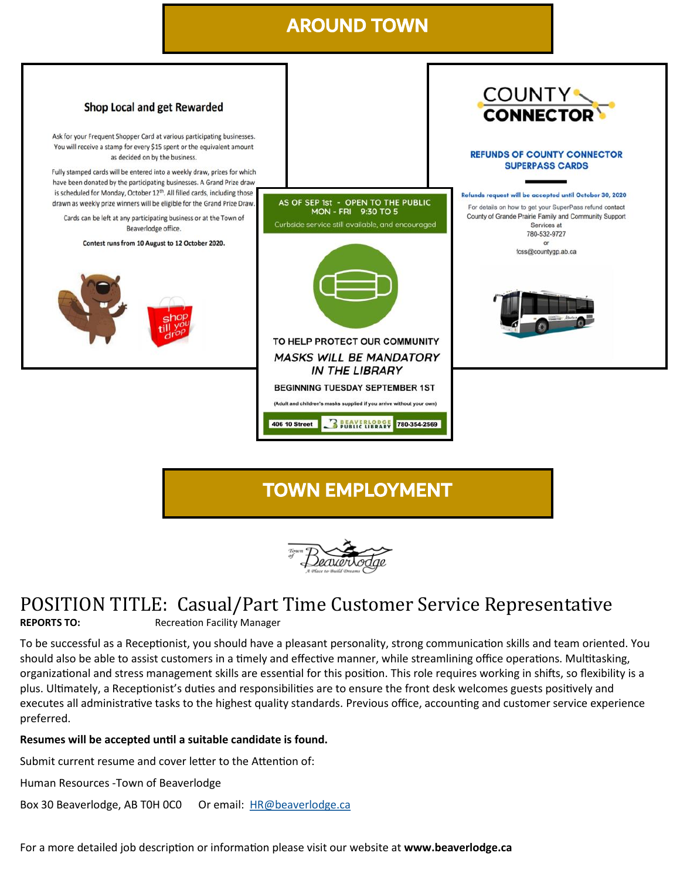### AROUND TOWN



### TOWN EMPLOYMENT



### POSITION TITLE: Casual/Part Time Customer Service Representative

**REPORTS TO:** Recreation Facility Manager

To be successful as a Receptionist, you should have a pleasant personality, strong communication skills and team oriented. You should also be able to assist customers in a timely and effective manner, while streamlining office operations. Multitasking, organizational and [stress management skills](https://resources.workable.com/stress-management-interview-questions) are essential for this position. This role requires working in shifts, so flexibility is a plus. Ultimately, a Receptionist's duties and responsibilities are to ensure the front desk welcomes guests positively and executes all administrative tasks to the highest quality standards. Previous office, accounting and customer service experience preferred.

#### **Resumes will be accepted until a suitable candidate is found.**

Submit current resume and cover letter to the Attention of:

Human Resources -Town of Beaverlodge

Box 30 Beaverlodge, AB T0H 0C0 Or email: [HR@beaverlodge.ca](mailto:HR@beaverlodge.ca)

For a more detailed job description or information please visit our website at **www.beaverlodge.ca**